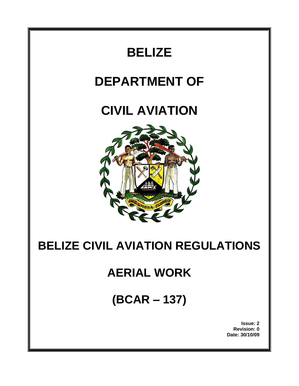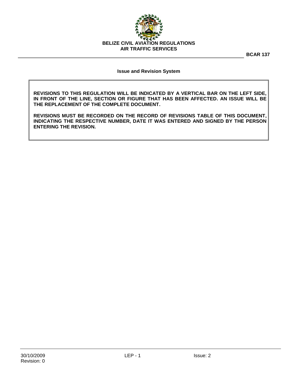

**BCAR 137**

### **Issue and Revision System**

**REVISIONS TO THIS REGULATION WILL BE INDICATED BY A VERTICAL BAR ON THE LEFT SIDE, IN FRONT OF THE LINE, SECTION OR FIGURE THAT HAS BEEN AFFECTED. AN ISSUE WILL BE THE REPLACEMENT OF THE COMPLETE DOCUMENT.**

**REVISIONS MUST BE RECORDED ON THE RECORD OF REVISIONS TABLE OF THIS DOCUMENT, INDICATING THE RESPECTIVE NUMBER, DATE IT WAS ENTERED AND SIGNED BY THE PERSON ENTERING THE REVISION.**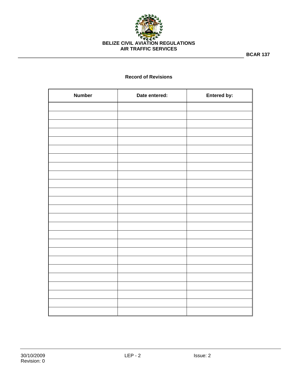

**BCAR 137**

# **Record of Revisions**

| <b>Number</b> | Date entered: | Entered by: |
|---------------|---------------|-------------|
|               |               |             |
|               |               |             |
|               |               |             |
|               |               |             |
|               |               |             |
|               |               |             |
|               |               |             |
|               |               |             |
|               |               |             |
|               |               |             |
|               |               |             |
|               |               |             |
|               |               |             |
|               |               |             |
|               |               |             |
|               |               |             |
|               |               |             |
|               |               |             |
|               |               |             |
|               |               |             |
|               |               |             |
|               |               |             |
|               |               |             |
|               |               |             |
|               |               |             |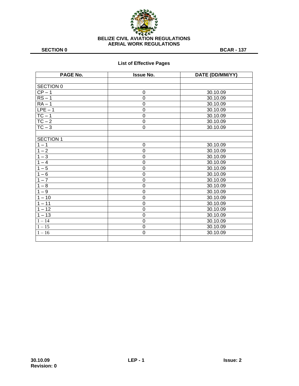

# **List of Effective Pages**

| PAGE No.            | <b>Issue No.</b> | DATE (DD/MM/YY) |
|---------------------|------------------|-----------------|
|                     |                  |                 |
| SECTION 0           |                  |                 |
| $\overline{CP}$ – 1 | $\mathbf 0$      | 30.10.09        |
| $RS - 1$            | $\mathbf 0$      | 30.10.09        |
| $RA - 1$            | $\overline{0}$   | 30.10.09        |
| $LPE - 1$           | $\overline{0}$   | 30.10.09        |
| $TC - 1$            | $\mathbf 0$      | 30.10.09        |
| $TC - 2$            | $\mathbf 0$      | 30.10.09        |
| $TC - 3$            | $\overline{0}$   | 30.10.09        |
|                     |                  |                 |
| <b>SECTION 1</b>    |                  |                 |
| $1 - 1$             | 0                | 30.10.09        |
| $1 - 2$             | $\overline{0}$   | 30.10.09        |
| $1 - 3$             | $\mathbf 0$      | 30.10.09        |
| $1 - 4$             | $\overline{0}$   | 30.10.09        |
| $1 - 5$             | $\mathbf 0$      | 30.10.09        |
| $1 - 6$             | $\overline{0}$   | 30.10.09        |
| $1 - 7$             | $\mathbf 0$      | 30.10.09        |
| $1 - 8$             | $\overline{0}$   | 30.10.09        |
| $1 - 9$             | $\mathbf 0$      | 30.10.09        |
| $1 - 10$            | $\mathbf 0$      | 30.10.09        |
| $1 - 11$            | $\mathbf 0$      | 30.10.09        |
| $1 - 12$            | $\mathbf 0$      | 30.10.09        |
| $1 - 13$            | $\mathbf 0$      | 30.10.09        |
| $1 - 14$            | $\mathbf 0$      | 30.10.09        |
| $1 - 15$            | $\mathbf 0$      | 30.10.09        |
| $1 - 16$            | $\overline{0}$   | 30.10.09        |
|                     |                  |                 |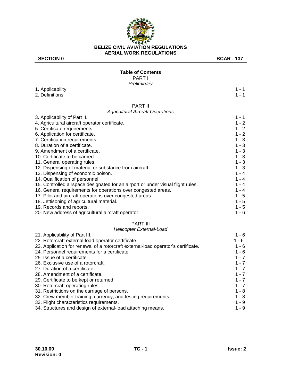

1. Applicability 2. Definitions.

# **Table of Contents**

PART I *Preliminary*

#### PART II *Agricultural Aircraft Operations*

| 3. Applicability of Part II.                                                    | 1 - 1   |
|---------------------------------------------------------------------------------|---------|
| 4. Agricultural aircraft operator certificate.                                  | $1 - 2$ |
| 5. Certificate requirements.                                                    | $1 - 2$ |
| 6. Application for certificate.                                                 | $1 - 2$ |
| 7. Certification requirements.                                                  | $1 - 3$ |
| 8. Duration of a certificate.                                                   | $1 - 3$ |
| 9. Amendment of a certificate.                                                  | $1 - 3$ |
| 10. Certificate to be carried.                                                  | $1 - 3$ |
| 11. General operating rules.                                                    | $1 - 3$ |
| 12. Dispensing of material or substance from aircraft.                          | $1 - 3$ |
| 13. Dispensing of economic poison.                                              | $1 - 4$ |
| 14. Qualification of personnel.                                                 | $1 - 4$ |
| 15. Controlled airspace designated for an airport or under visual flight rules. | $1 - 4$ |
| 16. General requirements for operations over congested areas.                   | $1 - 4$ |
| 17. Pilot and aircraft operations over congested areas.                         | $1 - 5$ |
| 18. Jettisoning of agricultural material.                                       | $1 - 5$ |
| 19. Records and reports.                                                        | $1 - 5$ |
|                                                                                 |         |

20. New address of agricultural aircraft operator. 1 - 6

# PART III

### *Helicopter External-Load*

| 21. Applicability of Part III.                                                    | $1 - 6$ |
|-----------------------------------------------------------------------------------|---------|
| 22. Rotorcraft external-load operator certificate.                                | 1 - 6   |
| 23. Application for renewal of a rotorcraft external-load operator's certificate. | $1 - 6$ |
| 24. Personnel requirements for a certificate.                                     | $1 - 6$ |
| 25. Issue of a certificate.                                                       | $1 - 7$ |
| 26. Exclusive use of a rotorcraft.                                                | $1 - 7$ |
| 27. Duration of a certificate.                                                    | $1 - 7$ |
| 28. Amendment of a certificate.                                                   | $1 - 7$ |
| 29. Certificate to be kept or returned.                                           | $1 - 7$ |
| 30. Rotorcraft operating rules.                                                   | $1 - 7$ |
| 31. Restrictions on the carriage of persons.                                      | $1 - 8$ |
| 32. Crew member training, currency, and testing requirements.                     | $1 - 8$ |
| 33. Flight characteristics requirements.                                          | $1 - 9$ |
| 34. Structures and design of external-load attaching means.                       | $1 - 9$ |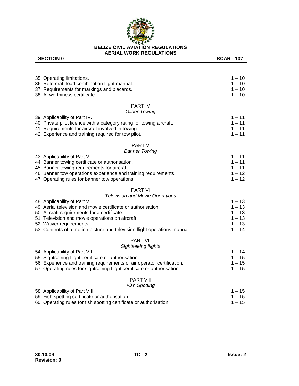

| 35. Operating limitations.                                                | $1 - 10$ |
|---------------------------------------------------------------------------|----------|
| 36. Rotorcraft load combination flight manual.                            | $1 - 10$ |
| 37. Requirements for markings and placards.                               | $1 - 10$ |
| 38. Airworthiness certificate.                                            | $1 - 10$ |
| <b>PART IV</b>                                                            |          |
| <b>Glider Towing</b>                                                      |          |
| 39. Applicability of Part IV.                                             | $1 - 11$ |
| 40. Private pilot licence with a category rating for towing aircraft.     | $1 - 11$ |
| 41. Requirements for aircraft involved in towing.                         | $1 - 11$ |
| 42. Experience and training required for tow pilot.                       | $1 - 11$ |
| PART V                                                                    |          |
| <b>Banner Towing</b>                                                      |          |
| 43. Applicability of Part V.                                              | $1 - 11$ |
| 44. Banner towing certificate or authorisation.                           | $1 - 11$ |
| 45. Banner towing requirements for aircraft.                              | $1 - 11$ |
| 46. Banner tow operations experience and training requirements.           | $1 - 12$ |
| 47. Operating rules for banner tow operations.                            | $1 - 12$ |
| <b>PART VI</b>                                                            |          |
| <b>Television and Movie Operations</b>                                    |          |
| 48. Applicability of Part VI.                                             | $1 - 13$ |
| 49. Aerial television and movie certificate or authorisation.             | $1 - 13$ |
| 50. Aircraft requirements for a certificate.                              | $1 - 13$ |
| 51. Television and movie operations on aircraft.                          | $1 - 13$ |
| 52. Waiver requirements.                                                  | $1 - 13$ |
| 53. Contents of a motion picture and television flight operations manual. | $1 - 14$ |
| <b>PART VII</b>                                                           |          |
| Sightseeing flights                                                       |          |
| 54. Applicability of Part VII.                                            | $1 - 14$ |
| 55. Sightseeing flight certificate or authorisation.                      | $1 - 15$ |
| 56. Experience and training requirements of air operator certification.   | $1 - 15$ |
| 57. Operating rules for sightseeing flight certificate or authorisation.  | $1 - 15$ |
| <b>PART VIII</b>                                                          |          |
| <b>Fish Spotting</b>                                                      |          |
| 58. Applicability of Part VIII.                                           | $1 - 15$ |
| 59. Fish spotting certificate or authorisation.                           | $1 - 15$ |
| 60. Operating rules for fish spotting certificate or authorisation.       | $1 - 15$ |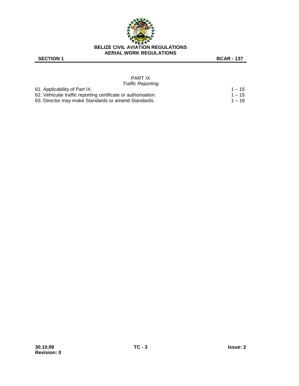

#### PART IX *Traffic Reporting*

| 61. Applicability of Part IX.                                 | $1 - 15$ |
|---------------------------------------------------------------|----------|
| 62. Vehicular traffic reporting certificate or authorisation. | $1 - 15$ |
| 63. Director may make Standards or amend Standards.           | 1 – 16   |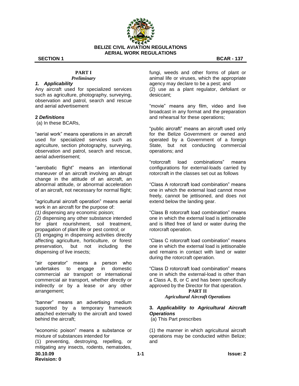

# **PART I**

# *Preliminary*

### *1. Applicability*

Any aircraft used for specialized services such as agriculture, photography, surveying, observation and patrol, search and rescue and aerial advertisement

# **2** *Definitions*

(a) In these BCARs,

"aerial work" means operations in an aircraft used for specialized services such as agriculture, section photography, surveying, observation and patrol, search and rescue, aerial advertisement;

"aerobatic flight" means an intentional maneuver of an aircraft involving an abrupt change in the attitude of an aircraft, an abnormal attitude, or abnormal acceleration of an aircraft, not necessary for normal flight;

"agricultural aircraft operation" means aerial work in an aircraft for the purpose of:

*(1)* dispensing any economic poison;

*(2)* dispensing any other substance intended for plant nourishment, soil treatment, propagation of plant life or pest control; or (3) engaging in dispensing activities directly affecting agriculture, horticulture, or forest preservation, but not including the dispensing of live insects;

"air operator" means a person who undertakes to engage in domestic commercial air transport or international commercial air transport, whether directly or indirectly or by a lease or any other arrangement;

―banner‖ means an advertising medium supported by a temporary framework attached externally to the aircraft and towed behind the aircraft;

**30.10.09 1-1 Issue: 2** "economic poison" means a substance or mixture of substances intended for (1) preventing, destroying, repelling, or mitigating any insects, rodents, nematodes,

fungi, weeds and other forms of plant or animal life or viruses, which the appropriate agency may declare to be a pest; and (2) use as a plant regulator, defoliant or desiccant;

"movie" means any film, video and live broadcast in any format and the preparation and rehearsal for these operations;

"public aircraft" means an aircraft used only for the Belize Government or owned and operated by a Government of a foreign State, but not conducting commercial operations; and

―rotorcraft load combinations‖ means configurations for external-loads carried by rotorcraft in the classes set out as follows

―Class A rotorcraft load combination‖ means one in which the external load cannot move freely, cannot be jettisoned, and does not extend below the landing gear.

―Class B rotorcraft load combination‖ means one in which the external load is jettisonable and is lifted free of land or water during the rotorcraft operation.

―Class C rotorcraft load combination‖ means one in which the external load is jettisonable and remains in contact with land or water during the rotorcraft operation.

―Class D rotorcraft load combination‖ means one in which the external-load is other than a Class A, B, or C and has been specifically approved by the Director for that operation.

### **PART II** *Agricultural Aircraft Operations*

# **3.** *Applicability to Agricultural Aircraft Operations*

(a) This Part prescribes

(1) the manner in which agricultural aircraft operations may be conducted within Belize; and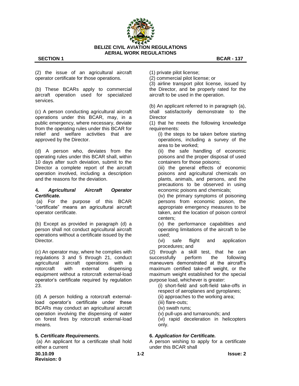

(2) the issue of an agricultural aircraft operator certificate for those operations.

(b) These BCARs apply to commercial aircraft operation used for specialized services.

(c) A person conducting agricultural aircraft operations under this BCAR, may, in a public emergency, where necessary, deviate from the operating rules under this BCAR for relief and welfare activities that are approved by the Director.

(d) A person who, deviates from the operating rules under this BCAR shall, within 10 days after such deviation, submit to the Director a complete report of the aircraft operation involved, including a description and the reasons for the deviation.

### **4.** *Agricultural Aircraft Operator Certificate.*

(a) For the purpose of this BCAR ―certificate‖ means an agricultural aircraft operator certificate.

(b) Except as provided in paragraph (d) a person shall not conduct agricultural aircraft operations without a certificate issued by the Director.

(c) An operator may, where he complies with regulations 3 and 5 through 21, conduct agricultural aircraft operations with a rotorcraft with external dispensing equipment without a rotorcraft external-load operator's certificate required by regulation 23.

(d) A person holding a rotorcraft externalload operator's certificate under these BCARs may conduct an agricultural aircraft operation involving the dispensing of water on forest fires by rotorcraft external-load means.

### **5.** *Certificate Requirements.*

(a) An applicant for a certificate shall hold either a current

(1) private pilot license;

(2) commercial pilot license; or

(3) airline transport pilot license, issued by the Director, and be properly rated for the aircraft to be used in the operation.

(b) An applicant referred to in paragraph (a), shall satisfactorily demonstrate to the **Director** 

(1) that he meets the following knowledge requirements:

(i) the steps to be taken before starting operations, including a survey of the area to be worked;

(ii) the safe handling of economic poisons and the proper disposal of used containers for those poisons;

(iii) the general effects of economic poisons and agricultural chemicals on plants, animals, and persons, and the precautions to be observed in using economic poisons and chemicals;

(iv) the primary symptoms of poisoning persons from economic poison, the appropriate emergency measures to be taken, and the location of poison control centers;

(v) the performance capabilities and operating limitations of the aircraft to be used;

(vi) safe flight and application procedures; and

(2) through a skill test, that he can<br>successfully perform the following successfully perform the following maneuvers demonstrated at the aircraft's maximum certified take-off weight, or the maximum weight established for the special purpose load, whichever is greater:

(i) short-field and soft-field take-offs in respect of aeroplanes and gyroplanes;

(ii) approaches to the working area;

(iii) flare-outs;

(iv) swath runs;

(v) pull-ups and turnarounds; and (vi) rapid deceleration in helicopters only.

### **6.** *Application for Certificate.*

A person wishing to apply for a certificate under this BCAR shall

**30.10.09 1-2 Issue: 2 Revision: 0**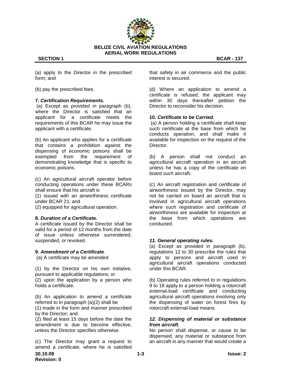

(a) apply to the Director in the prescribed form; and

(b) pay the prescribed fees.

#### **7.** *Certification Requirements.*

(a) Except as provided in paragraph (b), where the Director is satisfied that an applicant for a certificate meets the requirements of this BCAR he may issue the applicant with a certificate.

(b) An applicant who applies for a certificate that contains a prohibition against the dispensing of economic poisons shall be exempted from the requirement of demonstrating knowledge that is specific to economic poisons.

(c) An agricultural aircraft operator before conducting operations under these BCARs shall ensure that his aircraft is

(1) issued with an airworthiness certificate under BCAR 21; and

(2) equipped for agricultural operation.

#### **8.** *Duration of a Certificate.*

A certificate issued by the Director shall be valid for a period of 12 months from the date of issue unless otherwise surrendered, suspended, or revoked.

#### **9.** *Amendment of a Certificate*.

(a) A certificate may be amended

(1) by the Director on his own initiative, pursuant to applicable regulations; or (2) upon the application by a person who holds a certificate.

(b) An application to amend a certificate referred to in paragraph (a)(2) shall be (1) made in the form and manner prescribed by the Director; and

(2) filed at least 15 days before the date the amendment is due to become effective, unless the Director specifies otherwise.

**30.10.09 1-3 Issue: 2 Revision: 0** (c) The Director may grant a request to amend a certificate, where he is satisfied

that safety in air commerce and the public interest is secured.

(d) Where an application to amend a certificate is refused, the applicant may within 30 days thereafter petition the Director to reconsider his decision.

#### **10.** *Certificate to be Carried.*

(a) A person holding a certificate shall keep such certificate at the base from which he conducts operation, and shall make it available for inspection on the request of the Director.

(b) A person shall not conduct an agricultural aircraft operation in an aircraft unless he has a copy of the certificate on board such aircraft.

(c) An aircraft registration and certificate of airworthiness issued by the Director, may not be carried on board an aircraft that is involved in agricultural aircraft operations where such registration and certificate of airworthiness are available for inspection at the base from which operations are conducted.

#### *11. General operating rules.*

(a) Except as provided in paragraph (b), regulations 12 to 30 prescribe the rules that apply to persons and aircraft used in agricultural aircraft operations conducted under this BCAR.

(b) Operating rules referred to in regulations 9 to 18 apply to a person holding a rotorcraft external-load certificate and conducting agricultural aircraft operations involving only the dispensing of water on forest fires by rotorcraft external-load means.

### *12. Dispensing of material or substance from aircraft.*

No person shall dispense, or cause to be dispensed, any material or substance from an aircraft in any manner that would create a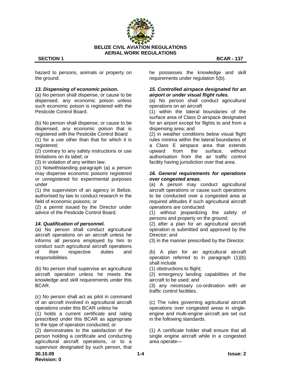

hazard to persons, animals or property on the ground.

#### *13. Dispensing of economic poison.*

(a) No person shall dispense, or cause to be dispensed, any economic poison unless such economic poison is registered with the Pesticide Control Board.

(b) No person shall dispense, or cause to be dispensed, any economic poison that is registered with the Pesticide Control Board (1) for a use other than that for which it is

registered; (2) contrary to any safety instructions or use

limitations on its label; or

(3) in violation of any written law.

(c) Notwithstanding paragraph (a) a person may dispense economic poisons registered or unregistered for experimental purposes under

(1) the supervision of an agency in Belize, authorised by law to conduct research in the field of economic poisons; or

(2) a permit issued by the Director under advice of the Pesticide Control Board.

#### *14. Qualification of personnel.*

(a) No person shall conduct agricultural aircraft operations on an aircraft unless he informs all persons employed by him to conduct such agricultural aircraft operations of their respective duties and responsibilities.

(b) No person shall supervise an agricultural aircraft operation unless he meets the knowledge and skill requirements under this BCAR.

(c) No person shall act as pilot in command of an aircraft involved in agricultural aircraft operations under this BCAR unless he

(1) holds a current certificate and rating prescribed under this BCAR as appropriate to the type of operation conducted; or

(2) demonstrates to the satisfaction of the person holding a certificate and conducting agricultural aircraft operations, or to a supervisor designated by such person, that

**30.10.09 1-4 Issue: 2 Revision: 0**

he possesses the knowledge and skill requirements under regulation 5(b).

#### *15. Controlled airspace designated for an airport or under visual flight rules.*

(a) No person shall conduct agricultural operations on an aircraft

(1) within the lateral boundaries of the surface area of Class D airspace designated for an airport except for flights to and from a dispensing area; and

(2) in weather conditions below visual flight rules minima within the lateral boundaries of a Class E airspace area that extends upward from the surface, without authorisation from the air traffic control facility having jurisdiction over that area.

#### *16. General requirements for operations over congested areas.*

(a) A person may conduct agricultural aircraft operations or cause such operations to be conducted over a congested area at required altitudes if such agricultural aircraft operations are conducted

(1) without jeopardizing the safety of persons and property on the ground;

(2) after a plan for an agricultural aircraft operation is submitted and approved by the Director; and

(3) in the manner prescribed by the Director.

(b) A plan for an agricultural aircraft operation referred to in paragraph (1)(b) shall include

(1) obstructions to flight;

(2) emergency landing capabilities of the aircraft to be used; and

(3) any necessary co-ordination with air traffic control facilities.

(c) The rules governing agricultural aircraft operations over congested areas in singleengine and multi-engine aircraft are set out in the following standards.

(1) A certificate holder shall ensure that all single engine aircraft while in a congested area operate—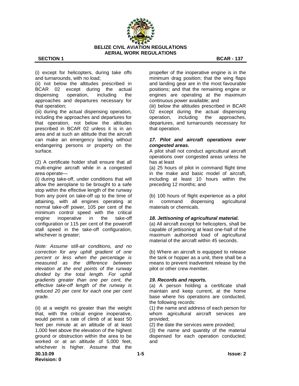

(i) except for helicopters, during take offs and turnarounds, with no load;

(ii) not below the altitudes prescribed in BCAR 02 except during the actual dispensing operation, including the approaches and departures necessary for that operation;

(iii) during the actual dispensing operation, including the approaches and departures for that operation, not below the altitudes prescribed in BCAR 02 unless it is in an area and at such an altitude that the aircraft can make an emergency landing without endangering persons or property on the surface.

(2) A certificate holder shall ensure that all multi-engine aircraft while in a congested area operate—

(i) during take-off, under conditions that will allow the aeroplane to be brought to a safe stop within the effective length of the runway from any point on take-off up to the time of attaining, with all engines operating at normal take-off power, 105 per cent of the minimum control speed with the critical engine inoperative in the take-off configuration or 115 per cent of the poweroff stall speed in the take-off configuration, whichever is greater;

*Note: Assume still-air conditions, and no correction for any uphill gradient of one percent or less when the percentage is measured as the difference between elevation at the end points of the runway divided by the total length. For uphill gradients greater than one per cent, the effective take-off length of the runway is reduced 20 per cent for each one per cent grade.*

(ii) at a weight no greater than the weight that, with the critical engine inoperative, would permit a rate of climb of at least 50 feet per minute at an altitude of at least 1,000 feet above the elevation of the highest ground or obstruction within the area to be worked or at an altitude of 5,000 feet, whichever is higher. Assume that the

propeller of the inoperative engine is in the minimum drag position; that the wing flaps and landing gear are in the most favourable positions; and that the remaining engine or engines are operating at the maximum continuous power available; and (iii) below the altitudes prescribed in BCAR 02 except during the actual dispensing operation, including the approaches, departures, and turnarounds necessary for

### *17. Pilot and aircraft operations over congested areas.*

that operation.

A pilot shall not conduct agricultural aircraft operations over congested areas unless he has at least

(a) 25 hours of pilot in command flight time in the make and basic model of aircraft, including at least 10 hours within the preceding 12 months; and

(b) 100 hours of flight experience as a pilot in command dispensing agricultural materials or chemicals.

#### *18. Jettisoning of agricultural material.*

(a) All aircraft except for helicopters, shall be capable of jettisoning at least one-half of the maximum authorised load of agricultural material of the aircraft within 45 seconds.

(b) Where an aircraft is equipped to release the tank or hopper as a unit, there shall be a means to prevent inadvertent release by the pilot or other crew member.

#### *19. Records and reports.*

(a) A person holding a certificate shall maintain and keep current, at the home base where his operations are conducted, the following records:

(1) the name and address of each person for whom agricultural aircraft services are provided;

(2) the date the services were provided;

(3) the name and quantity of the material dispensed for each operation conducted; and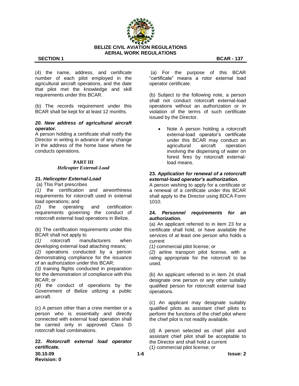

(4) the name, address, and certificate number of each pilot employed in the agricultural aircraft operations, and the date that pilot met the knowledge and skill requirements under this BCAR.

(b) The records requirement under this BCAR shall be kept for at least 12 months.

#### *20. New address of agricultural aircraft operator.*

A person holding a certificate shall notify the Director in writing in advance of any change in the address of the home base where he conducts operations.

#### **PART III**

#### *Helicopter External-Load*

#### **21.** *Helicopter External-Load*

(a) This Part prescribes

*(1)* the certification and airworthiness requirements for rotorcraft used in external load operations; and

*(2)* the operating and certification requirements governing the conduct of rotorcraft external load operations in Belize.

(b) The certification requirements under this BCAR shall not apply to

*(1)* rotorcraft manufacturers when developing external load attaching means;

*(2)* operations conducted by a person demonstrating compliance for the issuance of an authorization under this BCAR;

*(3)* training flights conducted in preparation for the demonstration of compliance with this BCAR; or

*(4)* the conduct of operations by the Government of Belize utilizing a public aircraft.

(c) A person other than a crew member or a person who is essentially and directly connected with external load operation shall be carried only in approved Class D rotorcraft load combinations.

### **22.** *Rotorcraft external load operator certificate.*

(a) For the purpose of this BCAR ―certificate‖ means a rotor external load operator certificate.

(b) Subject to the following note, a person shall not conduct rotorcraft external-load operations without an authorization or in violation of the terms of such certificate issued by the Director.

 Note A person holding a rotorcraft external-load operator's certificate under this BCAR may conduct an agricultural aircraft operation involving the dispensing of water on forest fires by rotorcraft externalload means.

#### **23.** *Application for renewal of a rotorcraft external-load operator's authorization.*

A person wishing to apply for a certificate or a renewal of a certificate under this BCAR shall apply to the Director using BDCA Form 1010.

#### **24.** *Personnel requirements for an authorization.*

(a) An applicant referred to in item 23 for a certificate shall hold, or have available the services of at least one person who holds a current

*(1)* commercial pilot license; or

*(2)* airline transport pilot license, with a rating appropriate for the rotorcraft to be used.

(b) An applicant referred to in item 24 shall designate one person or any other suitably qualified person for rotorcraft external load operations.

(c) An applicant may designate suitably qualified pilots as assistant chief pilots to perform the functions of the chief pilot where the chief pilot is not readily available.

(d) A person selected as chief pilot and assistant chief pilot shall be acceptable to the Director and shall hold a current *(1)* commercial pilot license; or

**30.10.09 1-6 Issue: 2 Revision: 0**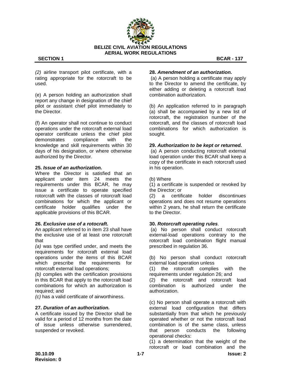

*(2)* airline transport pilot certificate, with a rating appropriate for the rotorcraft to be used.

(e) A person holding an authorization shall report any change in designation of the chief pilot or assistant chief pilot immediately to the Director.

(f) An operator shall not continue to conduct operations under the rotorcraft external load operator certificate unless the chief pilot demonstrates compliance with the knowledge and skill requirements within 30 days of his designation, or where otherwise authorized by the Director.

#### **25.** *Issue of an authorization.*

Where the Director is satisfied that an applicant under item 24 meets the requirements under this BCAR, he may issue a certificate to operate specified rotorcraft with the classes of rotorcraft load combinations for which the applicant or certificate holder qualifies under the applicable provisions of this BCAR.

#### **26.** *Exclusive use of a rotocraft.*

An applicant referred to in item 23 shall have the exclusive use of at least one rotorcraft that

*(a)* was type certified under, and meets the requirements for rotorcraft external load operations under the items of this BCAR which prescribe the requirements for rotorcraft external load operations;

*(b)* complies with the certification provisions in this BCAR that apply to the rotorcraft load combinations for which an authorization is required; and

*(c)* has a valid certificate of airworthiness.

#### **27.** *Duration of an authorization.*

A certificate issued by the Director shall be valid for a period of 12 months from the date of issue unless otherwise surrendered, suspended or revoked.

#### **28.** *Amendment of an authorization.*

(a) A person holding a certificate may apply to the Director to amend the certificate, by either adding or deleting a rotorcraft load combination authorization.

(b) An application referred to in paragraph (a) shall be accompanied by a new list of rotorcraft, the registration number of the rotorcraft, and the classes of rotorcraft load combinations for which authorization is sought.

#### **29.** *Authorization to be kept or returned.*

(a) A person conducting rotorcraft external load operation under this BCAR shall keep a copy of the certificate in each rotorcraft used in his operation.

(b) Where

(1) a certificate is suspended or revoked by the Director; or

(2) a certificate holder discontinues operations and does not resume operations within 2 years, he shall return the certificate to the Director.

#### **30.** *Rotorcraft operating rules*.

(a) No person shall conduct rotorcraft external-load operations contrary to the rotorcraft load combination flight manual prescribed in regulation 36.

(b) No person shall conduct rotorcraft external load operation unless

(1) the rotorcraft complies with the requirements under regulation 26; and (2) the rotorcraft and rotorcraft load combination is authorized under the authorization.

(c) No person shall operate a rotorcraft with external load configuration that differs substantially from that which he previously operated whether or not the rotorcraft load combination is of the same class, unless that person conducts the following operational checks:

(1) a determination that the weight of the rotorcraft or load combination and the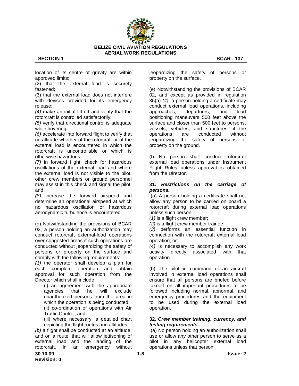

location of its centre of gravity are within approved limits;

(2) that the external load is securely fastened;

(3) that the external load does not interfere with devices provided for its emergency release;

*(4)* make an initial lift-off and verify that the rotorcraft is controlled satisfactorily;

*(5)* verify that directional control is adequate while hovering;

*(6)* accelerate into forward flight to verify that no altitude whether of the rotorcraft or of the external load is encountered in which the rotorcraft is uncontrollable or which is otherwise hazardous;

*(7)* in forward flight, check for hazardous oscillations of the external load and where the external load is not visible to the pilot, other crew members or ground personnel may assist in this check and signal the pilot; and

*(8)* increase the forward airspeed and determine an operational airspeed at which no hazardous oscillation or hazardous aerodynamic turbulence is encountered.

(d) Notwithstanding the provisions of BCAR 02, a person holding an authorization may conduct rotorcraft external-load operations over congested areas if such operations are conducted without jeopardizing the safety of persons or property on the surface and comply with the following requirements:

*(1)* the operator shall develop a plan for each complete operation and obtain approval for such operation from the Director which shall include

(i) an agreement with the appropriate agencies that he will exclude unauthorized persons from the area in which the operation is being conducted; (ii) co-ordination of operations with Air Traffic Control; and

(iii) where necessary, a detailed chart depicting the flight routes and altitudes;

*(b)* a flight shall be conducted at an altitude, and on a route, that will allow jettisoning of external load and the landing of the rotorcraft, in an emergency without jeopardizing the safety of persons or property on the surface.

(e) Notwithstanding the provisions of BCAR 02, and except as provided in regulation 35(a) *(4)*, a person holding a certificate may conduct external load operations, including approaches, departures, and load positioning maneuvers 500 feet above the surface and closer than 500 feet to persons, vessels, vehicles, and structures, if the operations are conducted without jeopardizing the safety of persons or property on the ground.

(f) No person shall conduct rotorcraft external load operations under Instrument Flight Rules unless approval is obtained from the Director.

### **31.** *Restrictions on the carriage of persons.*

(a) A person holding a certificate shall not allow any person to be carried on board a rotorcraft during external load operations unless such person

*(1)* is a flight crew member;

*(2)* is a flight crew member trainee;

*(3)* performs an essential function in connection with the rotorcraft external load operation; or

*(4)* is necessary to accomplish any work activity directly associated with that operation.

(b) The pilot in command of an aircraft involved in external load operations shall ensure that all persons are briefed before takeoff on all important procedures to be followed including normal, abnormal, and emergency procedures and the equipment to be used during the external load operation.

#### **32.** *Crew member training, currency, and testing requirements.*

(a) No person holding an authorization shall use or allow any other person to serve as a pilot in any helicopter external load operations unless that person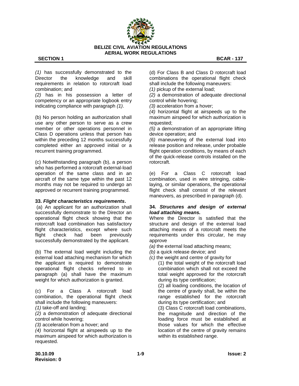

*(1)* has successfully demonstrated to the Director the knowledge and skill requirements in relation to rotorcraft load combination; and

*(2)* has in his possession a letter of competency or an appropriate logbook entry indicating compliance with paragraph *(1)*.

(b) No person holding an authorization shall use any other person to serve as a crew member or other operations personnel in Class D operations unless that person has within the preceding 12 months successfully completed either an approved initial or a recurrent training programmed.

(c) Notwithstanding paragraph (b), a person who has performed a rotorcraft external-load operation of the same class and in an aircraft of the same type within the past 12 months may not be required to undergo an approved or recurrent training programmed.

# **33.** *Flight characteristics requirements***.**

(a) An applicant for an authorization shall successfully demonstrate to the Director an operational flight check showing that the rotorcraft load combination has satisfactory flight characteristics, except where such flight check had been previously successfully demonstrated by the applicant.

(b) The external load weight including the external load attaching mechanism for which the applicant is required to demonstrate operational flight checks referred to in paragraph (a) shall have the maximum weight for which authorization is granted.

(c) For a Class A rotorcraft load combination, the operational flight check shall include the following maneuvers:

*(1)* take-off and landing;

*(2)* a demonstration of adequate directional control while hovering;

*(3)* acceleration from a hover; and

*(4)* horizontal flight at airspeeds up to the maximum airspeed for which authorization is requested.

(d) For Class B and Class D rotorcraft load combinations the operational flight check shall include the following maneuvers:

*(1)* pickup of the external load;

*(2)* a demonstration of adequate directional control while hovering;

*(3)* acceleration from a hover;

*(4)* horizontal flight at airspeeds up to the maximum airspeed for which authorization is requested;

*(5)* a demonstration of an appropriate lifting device operation; and

*(6)* maneuvering of the external load into release position and release, under probable flight operation conditions, by means of each of the quick-release controls installed on the rotorcraft.

(e) For a Class C rotorcraft load combination, used in wire stringing, cablelaying, or similar operations, the operational flight check shall consist of the relevant maneuvers, as prescribed in paragraph (d).

#### **34.** *Structures and design of external load attaching means.*

Where the Director is satisfied that the structure and design of the external load attaching means of a rotorcraft meets the requirements under this circular, he may approve

*(a)* the external load attaching means;

*(b)* a quick release device; and

- *(c)* the weight and centre of gravity for
	- (1) the total weight of the rotorcraft load combination which shall not exceed the total weight approved for the rotorcraft during its type certification;

(2) all loading conditions, the location of the centre of gravity shall, be within the range established for the rotorcraft during its type certification; and

(3) Class C rotorcraft load combinations, the magnitude and direction of the loading force must be established at those values for which the effective location of the centre of gravity remains within its established range.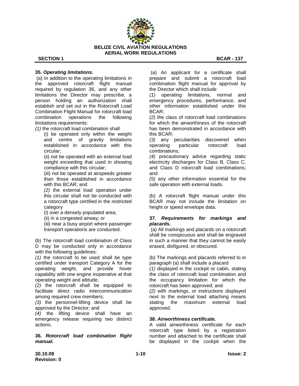

### **35.** *Operating limitations.*

(a) In addition to the operating limitations in the approved rotorcraft flight manual required by regulation 36, and any other limitations the Director may prescribe, a person holding an authorization shall establish and set out in the Rotorcraft Load Combination Flight Manual for rotorcraft load combination operations the following limitations requirements:

*(1)* the rotorcraft load combination shall

(i) be operated only within the weight and centre of gravity limitations established in accordance with this circular;

(ii) not be operated with an external load weight exceeding that used in showing compliance with this circular;

(iii) not be operated at airspeeds greater than those established in accordance with this BCAR; and

*(2)* the external load operation under this circular shall not be conducted with a rotorcraft type certified in the restricted category

(i) over a densely populated area;

(ii) in a congested airway; or

(iii) near a busy airport where passenger transport operations are conducted.

(b) The rotorcraft load combination of Class D may be conducted only in accordance with the following guidelines:

*(1)* the rotorcraft to be used shall be type certified under transport Category A for the operating weight, and provide hover capability with one engine inoperative at that operating weight and altitude;

*(2)* the rotorcraft shall be equipped to facilitate direct radio intercommunication among required crew members;

*(3)* the personnel-lifting device shall be approved by the Director; and

*(4)* the lifting device shall have an emergency release requiring two distinct actions.

**36.** *Rotorcraft load combination flight manual.*

(a) An applicant for a certificate shall prepare and submit a rotorcraft load combination flight manual for approval by the Director which shall include

*(1)* operating limitations, normal and emergency procedures, performance, and other information established under this BCAR;

*(2)* the class of rotorcraft load combinations for which the airworthiness of the rotorcraft has been demonstrated in accordance with this BCAR;

*(3)* any peculiarities discovered when operating particular rotorcraft load combinations;

*(4)* precautionary advice regarding static electricity discharges for Class B, Class C, and Class D rotorcraft load combinations; and

*(5)* any other information essential for the safe operation with external loads.

(b) A rotorcraft flight manual under this BCAR may not include the limitation on height or speed envelope data.

#### **37.** *Requirements for markings and placards.*

(a) All markings and placards on a rotorcraft shall be conspicuous and shall be engraved in such a manner that they cannot be easily erased, disfigured, or obscured.

(b) The markings and placards referred to in paragraph (a) shall include a placard

*(1)* displayed in the cockpit or cabin, stating the class of rotorcraft load combination and the occupancy limitation for which the rotorcraft has been approved; and

*(2)* with markings, or instructions displayed next to the external load attaching means stating the maximum external load approved.

#### **38.** *Airworthiness certificate.*

A valid airworthiness certificate for each rotorcraft type listed by a registration number and attached to the certificate shall be displayed in the cockpit when the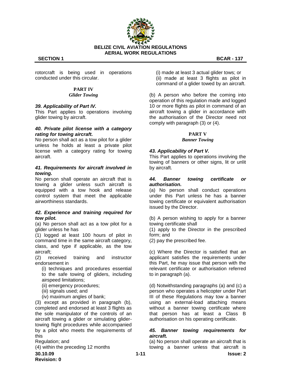

rotorcraft is being used in operations conducted under this circular.

#### **PART IV** *Glider Towing*

#### *39. Applicability of Part IV.*

This Part applies to operations involving glider towing by aircraft.

#### *40. Private pilot license with a category rating for towing aircraft.*

No person shall act as a tow pilot for a glider unless he holds at least a private pilot license with a category rating for towing aircraft.

#### *41. Requirements for aircraft involved in towing.*

No person shall operate an aircraft that is towing a glider unless such aircraft is equipped with a tow hook and release control system that meet the applicable airworthiness standards.

#### *42. Experience and training required for tow pilot.*

(a) No person shall act as a tow pilot for a glider unless he has

(1) logged at least 100 hours of pilot in command time in the same aircraft category, class, and type if applicable, as the tow aircraft;

(2) received training and instructor endorsement in

(i) techniques and procedures essential to the safe towing of gliders, including airspeed limitations;

- (ii) emergency procedures;
- (iii) signals used; and
- (iv) maximum angles of bank;

(3) except as provided in paragraph (b), completed and endorsed at least 3 flights as the sole manipulator of the controls of an aircraft towing a glider or simulating glidertowing flight procedures while accompanied by a pilot who meets the requirements of this

Regulation; and

(4) within the preceding 12 months

**30.10.09 1-11 Issue: 2 Revision: 0**

(i) made at least 3 actual glider tows; or (ii) made at least 3 flights as pilot in command of a glider towed by an aircraft.

(b) A person who before the coming into operation of this regulation made and logged 10 or more flights as pilot in command of an aircraft towing a glider in accordance with the authorisation of the Director need not comply with paragraph (3) or (4).

#### **PART V** *Banner Towing*

#### *43. Applicability of Part V.*

This Part applies to operations involving the towing of banners or other signs, lit or unlit by aircraft.

#### *44. Banner towing certificate or authorisation.*

(a) No person shall conduct operations under this Part unless he has a banner towing certificate or equivalent authorisation issued by the Director.

(b) A person wishing to apply for a banner towing certificate shall

(1) apply to the Director in the prescribed form; and

(2) pay the prescribed fee.

(c) Where the Director is satisfied that an applicant satisfies the requirements under this Part, he may issue that person with the relevant certificate or authorisation referred to in paragraph (a).

(d) Notwithstanding paragraphs (a) and (c) a person who operates a helicopter under Part III of these Regulations may tow a banner using an external-load attaching means without a banner towing certificate where that person has at least a Class B authorisation on his operating certificate.

#### *45. Banner towing requirements for aircraft.*

(a) No person shall operate an aircraft that is towing a banner unless that aircraft is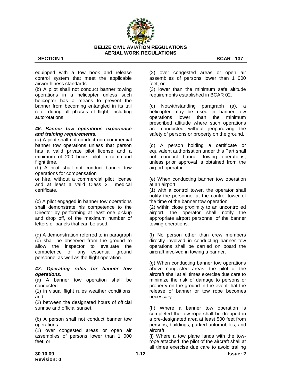

equipped with a tow hook and release control system that meet the applicable airworthiness standards.

(b) A pilot shall not conduct banner towing operations in a helicopter unless such helicopter has a means to prevent the banner from becoming entangled in its tail rotor during all phases of flight, including autorotations.

#### *46. Banner tow operations experience and training requirements.*

(a) A pilot shall not conduct non-commercial banner tow operations unless that person has a valid private pilot license and a minimum of 200 hours pilot in command flight time.

(b) A pilot shall not conduct banner tow operations for compensation

or hire, without a commercial pilot license and at least a valid Class 2 medical certificate.

(c) A pilot engaged in banner tow operations shall demonstrate his competence to the Director by performing at least one pickup and drop off, of the maximum number of letters or panels that can be used.

(d) A demonstration referred to in paragraph (c) shall be observed from the ground to allow the inspector to evaluate the competence of any essential ground personnel as well as the flight operation.

#### *47. Operating rules for banner tow operations.*

(a) A banner tow operation shall be conducted

(1) in visual flight rules weather conditions; and

(2) between the designated hours of official sunrise and official sunset.

(b) A person shall not conduct banner tow operations

(1) over congested areas or open air assemblies of persons lower than 1 000 feet; or

(2) over congested areas or open air assemblies of persons lower than 1 000 feet; or

(3) lower than the minimum safe altitude requirements established in BCAR 02.

(c) Notwithstanding paragraph (a), a helicopter may be used in banner tow operations lower than the minimum prescribed altitude where such operations are conducted without jeopardizing the safety of persons or property on the ground.

(d) A person holding a certificate or equivalent authorisation under this Part shall not conduct banner towing operations, unless prior approval is obtained from the airport operator.

(e) When conducting banner tow operation at an airport

(1) with a control tower, the operator shall notify the personnel at the control tower of the time of the banner tow operation;

(2) within close proximity to an uncontrolled airport, the operator shall notify the appropriate airport personnel of the banner towing operations.

(f) No person other than crew members directly involved in conducting banner tow operations shall be carried on board the aircraft involved in towing a banner.

(g) When conducting banner tow operations above congested areas, the pilot of the aircraft shall at all times exercise due care to minimize the risk of damage to persons or property on the ground in the event that the release of banner or tow rope becomes necessary.

(h) Where a banner tow operation is completed the tow-rope shall be dropped in a pre-designated area at least 500 feet from persons, buildings, parked automobiles, and aircraft.

(i) Where a tow plane lands with the towrope attached, the pilot of the aircraft shall at all times exercise due care to avoid trailing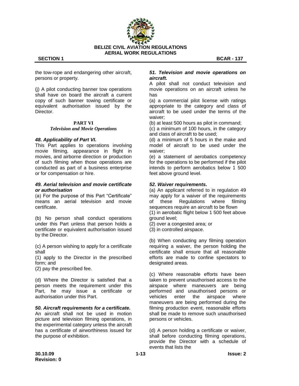

the tow-rope and endangering other aircraft, persons or property.

(j) A pilot conducting banner tow operations shall have on board the aircraft a current copy of such banner towing certificate or equivalent authorisation issued by the **Director** 

#### **PART VI** *Television and Movie Operations*

#### *48. Applicability of Part VI.*

This Part applies to operations involving movie filming, appearance in flight in movies, and airborne direction or production of such filming when those operations are conducted as part of a business enterprise or for compensation or hire.

#### *49. Aerial television and movie certificate or authorisation*

(a) For the purpose of this Part "Certificate" means an aerial television and movie certificate.

(b) No person shall conduct operations under this Part unless that person holds a certificate or equivalent authorisation issued by the Director.

(c) A person wishing to apply for a certificate shall

(1) apply to the Director in the prescribed form; and

(2) pay the prescribed fee.

(d) Where the Director is satisfied that a person meets the requirement under this Part, he may issue a certificate or authorisation under this Part.

#### *50. Aircraft requirements for a certificate.*

An aircraft shall not be used in motion picture and television filming operations, in the experimental category unless the aircraft has a certificate of airworthiness issued for the purpose of exhibition.

#### *51. Television and movie operations on aircraft.*

A pilot shall not conduct television and movie operations on an aircraft unless he has

(a) a commercial pilot license with ratings appropriate to the category and class of aircraft to be used under the terms of the waiver;

(b) at least 500 hours as pilot in command;

(c) a minimum of 100 hours, in the category and class of aircraft to be used;

(d) a minimum of 5 hours in the make and model of aircraft to be used under the waiver;

(e) a statement of aerobatics competency for the operations to be performed if the pilot intends to perform aerobatics below 1 500 feet above ground level.

#### *52. Waiver requirements.*

(a) An applicant referred to in regulation 49 may apply for a waiver of the requirements of these Regulations where filming sequences require an aircraft to be flown (1) in aerobatic flight below 1 500 feet above

ground level; (2) over a congested area; or

(3) in controlled airspace.

(b) When conducting any filming operation requiring a waiver, the person holding the certificate shall ensure that all reasonable efforts are made to confine spectators to designated areas.

(c) Where reasonable efforts have been taken to prevent unauthorised access to the airspace where maneuvers are being performed and unauthorised persons or vehicles enter the airspace where maneuvers are being performed during the filming production event, reasonable efforts shall be made to remove such unauthorised persons or vehicles.

(d) A person holding a certificate or waiver, shall before conducting filming operations, provide the Director with a schedule of events that lists the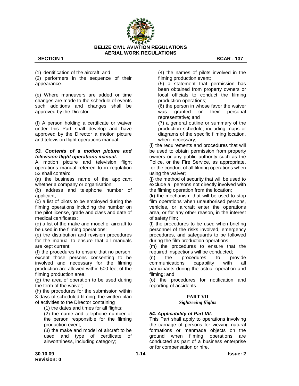

(1) identification of the aircraft; and (2) performers in the sequence of their appearance.

(e) Where maneuvers are added or time changes are made to the schedule of events such additions and changes shall be approved by the Director.

(f) A person holding a certificate or waiver under this Part shall develop and have approved by the Director a motion picture and television flight operations manual.

#### *53. Contents of a motion picture and television flight operations manual.*

A motion picture and television flight operations manual referred to in regulation 52 shall contain:

(a) the business name of the applicant whether a company or organisation;

(b) address and telephone number of applicant;

(c) a list of pilots to be employed during the filming operations including the number on the pilot license, grade and class and date of medical certificates;

(d) a list of the make and model of aircraft to be used in the filming operations;

(e) the distribution and revision procedures for the manual to ensure that all manuals are kept current;

(f) the procedures to ensure that no person, except those persons consenting to be involved and necessary for the filming production are allowed within 500 feet of the filming production area;

(g) the area of operation to be used during the term of the waiver;

(h) the procedures for the submission within 3 days of scheduled filming, the written plan of activities to the Director containing

(1) the dates and times for all flights;

(2) the name and telephone number of the person responsible for the filming production event;

(3) the make and model of aircraft to be used and type of certificate of airworthiness, including category;

(4) the names of pilots involved in the filming production event;

(5) a statement that permission has been obtained from property owners or local officials to conduct the filming production operations;

(6) the person in whose favor the waiver was granted or their personal representative; and

(7) a general outline or summary of the production schedule, including maps or diagrams of the specific filming location, where necessary;

(i) the requirements and procedures that will be used to obtain permission from property owners or any public authority such as the Police, or the Fire Service, as appropriate, for the conduct of all filming operations when using the waiver;

(j) the method of security that will be used to exclude all persons not directly involved with the filming operation from the location;

(k) the mechanism that will be used to stop film operations when unauthorised persons, vehicles, or aircraft enter the operations area, or for any other reason, in the interest of safety film;

(l) the procedures to be used when briefing personnel of the risks involved, emergency procedures, and safeguards to be followed during the film production operations;

(m) the procedures to ensure that the required inspections will be conducted;

(n) the procedures to provide communications capability with all participants during the actual operation and filming; and

(o) the procedures for notification and reporting of accidents.

#### **PART VII**

#### *Sightseeing flights*

# *54. Applicability of Part VII.*

This Part shall apply to operations involving the carriage of persons for viewing natural formations or manmade objects on the ground when filming operations are conducted as part of a business enterprise or for compensation or hire.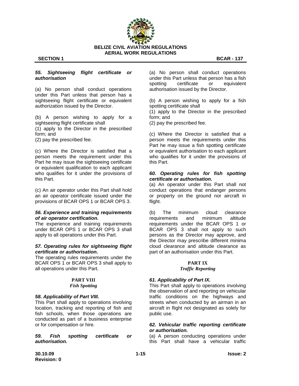

#### **SECTION 1** BCAR - **137**

#### *55. Sightseeing flight certificate or authorisation*

(a) No person shall conduct operations under this Part unless that person has a sightseeing flight certificate or equivalent authorization issued by the Director.

(b) A person wishing to apply for a sightseeing flight certificate shall

(1) apply to the Director in the prescribed form; and

(2) pay the prescribed fee.

(c) Where the Director is satisfied that a person meets the requirement under this Part he may issue the sightseeing certificate or equivalent qualification to each applicant who qualifies for it under the provisions of this Part.

(c) An air operator under this Part shall hold an air operator certificate issued under the provisions of BCAR OPS 1 or BCAR OPS 3.

#### *56. Experience and training requirements of air operator certification.*

The experience and training requirements under BCAR OPS 1 or BCAR OPS 3 shall apply to all operations under this Part.

#### *57. Operating rules for sightseeing flight certificate or authorisation.*

The operating rules requirements under the BCAR OPS 1 or BCAR OPS 3 shall apply to all operations under this Part.

### **PART VIII**

#### *Fish Spotting*

#### *58. Applicability of Part VIII.*

This Part shall apply to operations involving location, tracking and reporting of fish and fish schools, when those operations are conducted as part of a business enterprise or for compensation or hire.

*59. Fish spotting certificate or authorisation.*

(a) No person shall conduct operations under this Part unless that person has a fish spotting certificate or equivalent authorisation issued by the Director.

(b) A person wishing to apply for a fish spotting certificate shall

(1) apply to the Director in the prescribed form; and

(2) pay the prescribed fee.

(c) Where the Director is satisfied that a person meets the requirements under this Part he may issue a fish spotting certificate or equivalent authorisation to each applicant who qualifies for it under the provisions of this Part.

#### *60. Operating rules for fish spotting certificate or authorisation.*

(a) An operator under this Part shall not conduct operations that endanger persons or property on the ground nor aircraft in flight.

(b) The minimum cloud clearance requirements and minimum altitude requirements under the BCAR OPS 1 or BCAR OPS 3 shall not apply to such persons as the Director may approve, and the Director may prescribe different minima cloud clearance and altitude clearance as part of an authorisation under this Part.

# **PART IX**

#### *Traffic Reporting*

#### *61. Applicability of Part IX.*

This Part shall apply to operations involving the observation of and reporting on vehicular traffic conditions on the highways and streets when conducted by an airman in an aircraft in flight not designated as solely for public use.

### *62. Vehicular traffic reporting certificate or authorisation.*

(a) A person conducting operations under this Part shall have a vehicular traffic